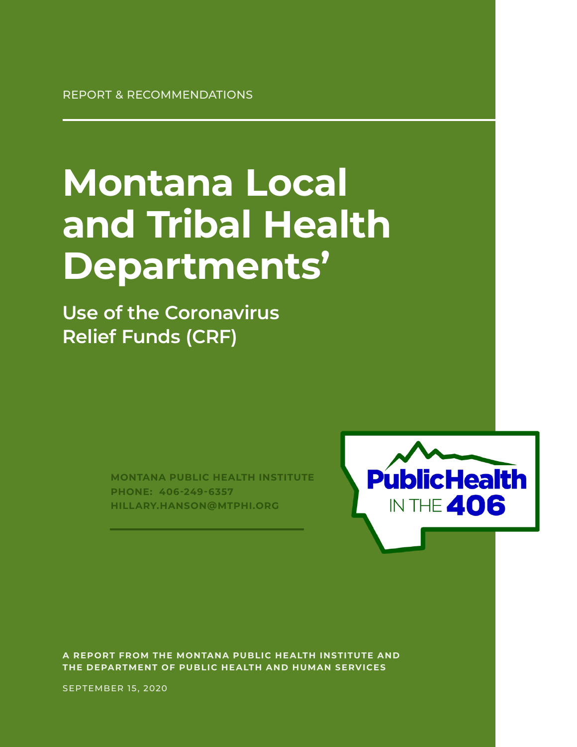REPORT & RECOMMENDATIONS

# **Montana Local and Tribal Health Departments'**

**Use of the Coronavirus Relief Funds (CRF)**

> **MONTANA PUBLIC HEALTH INSTITUTE PHONE: 406-249-6357 HILLARY.HANSON@MTPHI.ORG**



**A REPORT FROM THE MONTANA PUBLIC HEALTH INSTITUTE AND THE DEPARTMENT OF PUBLIC HEALTH AND HUMAN SERVICES**

SEPTEMBER 15, 2020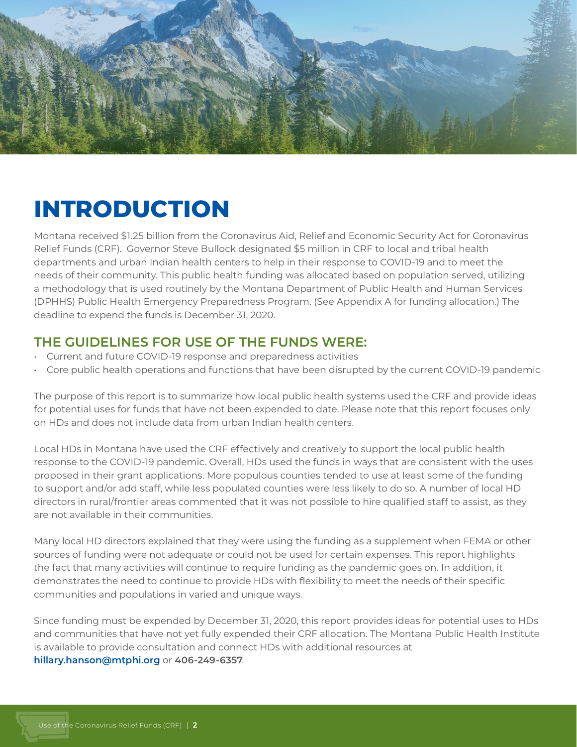

### **INTRODUCTION**

Montana received \$1.25 billion from the Coronavirus Aid, Relief and Economic Security Act for Coronavirus Relief Funds (CRF). Governor Steve Bullock designated \$5 million in CRF to local and tribal health departments and urban Indian health centers to help in their response to COVID-19 and to meet the needs of their community. This public health funding was allocated based on population served, utilizing a methodology that is used routinely by the Montana Department of Public Health and Human Services (DPHHS) Public Health Emergency Preparedness Program. (See Appendix A for funding allocation.) The deadline to expend the funds is December 31, 2020.

#### **THE GUIDELINES FOR USE OF THE FUNDS WERE:**

- Current and future COVID-19 response and preparedness activities
- Core public health operations and functions that have been disrupted by the current COVID-19 pandemic

The purpose of this report is to summarize how local public health systems used the CRF and provide ideas for potential uses for funds that have not been expended to date. Please note that this report focuses only on HDs and does not include data from urban Indian health centers.

Local HDs in Montana have used the CRF effectively and creatively to support the local public health response to the COVID-19 pandemic. Overall, HDs used the funds in ways that are consistent with the uses proposed in their grant applications. More populous counties tended to use at least some of the funding to support and/or add staff, while less populated counties were less likely to do so. A number of local HD directors in rural/frontier areas commented that it was not possible to hire qualified staff to assist, as they are not available in their communities.

Many local HD directors explained that they were using the funding as a supplement when FEMA or other sources of funding were not adequate or could not be used for certain expenses. This report highlights the fact that many activities will continue to require funding as the pandemic goes on. In addition, it demonstrates the need to continue to provide HDs with flexibility to meet the needs of their specific communities and populations in varied and unique ways.

Since funding must be expended by December 31, 2020, this report provides ideas for potential uses to HDs and communities that have not yet fully expended their CRF allocation. The Montana Public Health Institute is available to provide consultation and connect HDs with additional resources at **hillary.hanson@mtphi.org** or **406-249-6357**.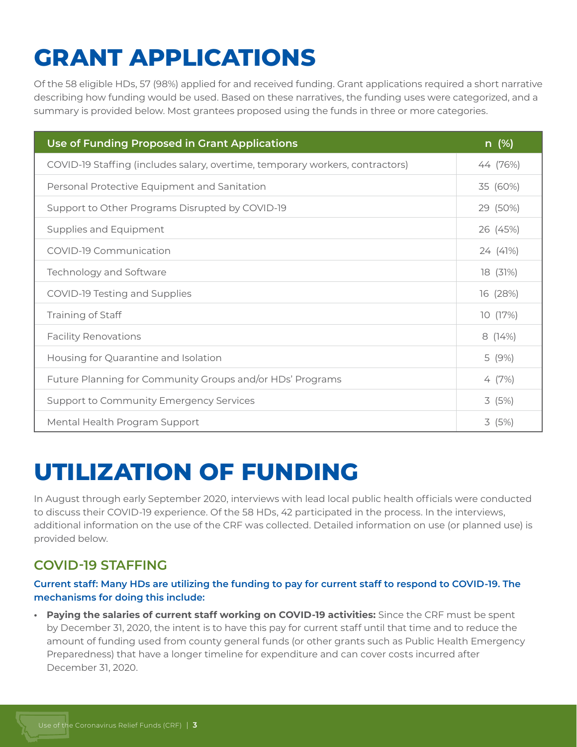# **GRANT APPLICATIONS**

Of the 58 eligible HDs, 57 (98%) applied for and received funding. Grant applications required a short narrative describing how funding would be used. Based on these narratives, the funding uses were categorized, and a summary is provided below. Most grantees proposed using the funds in three or more categories.

| Use of Funding Proposed in Grant Applications                                 | $n \ (\%)$ |
|-------------------------------------------------------------------------------|------------|
| COVID-19 Staffing (includes salary, overtime, temporary workers, contractors) | 44 (76%)   |
| Personal Protective Equipment and Sanitation                                  | 35 (60%)   |
| Support to Other Programs Disrupted by COVID-19                               | 29 (50%)   |
| Supplies and Equipment                                                        | 26 (45%)   |
| COVID-19 Communication                                                        | 24 (41%)   |
| Technology and Software                                                       | 18 (31%)   |
| COVID-19 Testing and Supplies                                                 | 16 (28%)   |
| Training of Staff                                                             | 10 (17%)   |
| <b>Facility Renovations</b>                                                   | 8(14%)     |
| Housing for Quarantine and Isolation                                          | 5 (9%)     |
| Future Planning for Community Groups and/or HDs' Programs                     | 4 (7%)     |
| Support to Community Emergency Services                                       | 3(5%)      |
| Mental Health Program Support                                                 | 3(5%)      |

### **UTILIZATION OF FUNDING**

In August through early September 2020, interviews with lead local public health officials were conducted to discuss their COVID-19 experience. Of the 58 HDs, 42 participated in the process. In the interviews, additional information on the use of the CRF was collected. Detailed information on use (or planned use) is provided below.

### **COVID-19 STAFFING**

#### **Current staff: Many HDs are utilizing the funding to pay for current staff to respond to COVID-19. The mechanisms for doing this include:**

**• Paying the salaries of current staff working on COVID-19 activities:** Since the CRF must be spent by December 31, 2020, the intent is to have this pay for current staff until that time and to reduce the amount of funding used from county general funds (or other grants such as Public Health Emergency Preparedness) that have a longer timeline for expenditure and can cover costs incurred after December 31, 2020.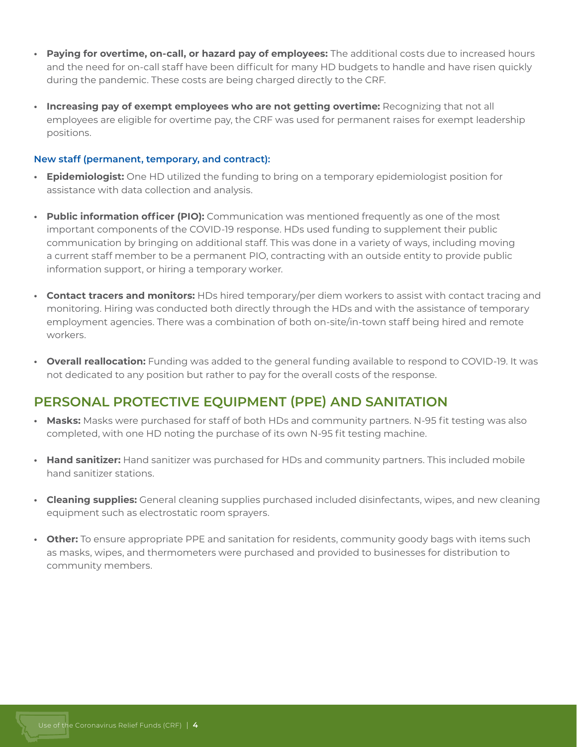- **• Paying for overtime, on-call, or hazard pay of employees:** The additional costs due to increased hours and the need for on-call staff have been difficult for many HD budgets to handle and have risen quickly during the pandemic. These costs are being charged directly to the CRF.
- **• Increasing pay of exempt employees who are not getting overtime:** Recognizing that not all employees are eligible for overtime pay, the CRF was used for permanent raises for exempt leadership positions.

#### **New staff (permanent, temporary, and contract):**

- **• Epidemiologist:** One HD utilized the funding to bring on a temporary epidemiologist position for assistance with data collection and analysis.
- **• Public information officer (PIO):** Communication was mentioned frequently as one of the most important components of the COVID-19 response. HDs used funding to supplement their public communication by bringing on additional staff. This was done in a variety of ways, including moving a current staff member to be a permanent PIO, contracting with an outside entity to provide public information support, or hiring a temporary worker.
- **• Contact tracers and monitors:** HDs hired temporary/per diem workers to assist with contact tracing and monitoring. Hiring was conducted both directly through the HDs and with the assistance of temporary employment agencies. There was a combination of both on-site/in-town staff being hired and remote workers.
- **• Overall reallocation:** Funding was added to the general funding available to respond to COVID-19. It was not dedicated to any position but rather to pay for the overall costs of the response.

#### **PERSONAL PROTECTIVE EQUIPMENT (PPE) AND SANITATION**

- **• Masks:** Masks were purchased for staff of both HDs and community partners. N-95 fit testing was also completed, with one HD noting the purchase of its own N-95 fit testing machine.
- **• Hand sanitizer:** Hand sanitizer was purchased for HDs and community partners. This included mobile hand sanitizer stations.
- **• Cleaning supplies:** General cleaning supplies purchased included disinfectants, wipes, and new cleaning equipment such as electrostatic room sprayers.
- **• Other:** To ensure appropriate PPE and sanitation for residents, community goody bags with items such as masks, wipes, and thermometers were purchased and provided to businesses for distribution to community members.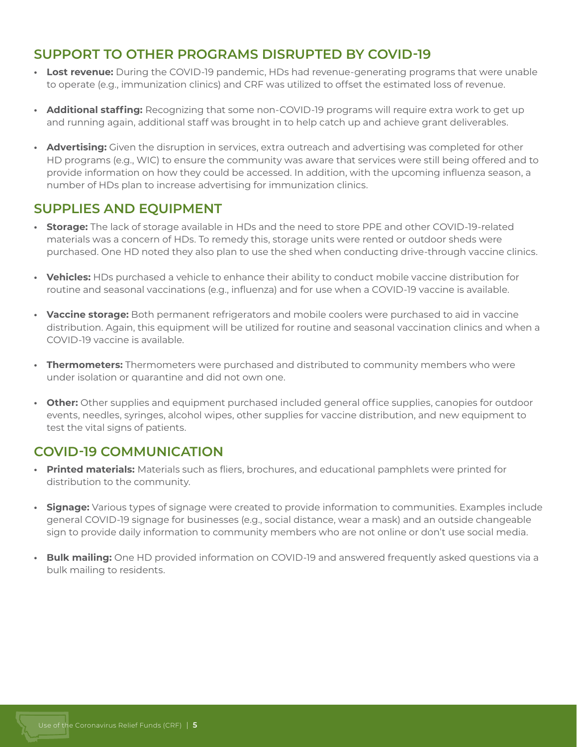#### **SUPPORT TO OTHER PROGRAMS DISRUPTED BY COVID-19**

- **• Lost revenue:** During the COVID-19 pandemic, HDs had revenue-generating programs that were unable to operate (e.g., immunization clinics) and CRF was utilized to offset the estimated loss of revenue.
- **• Additional staffing:** Recognizing that some non-COVID-19 programs will require extra work to get up and running again, additional staff was brought in to help catch up and achieve grant deliverables.
- **• Advertising:** Given the disruption in services, extra outreach and advertising was completed for other HD programs (e.g., WIC) to ensure the community was aware that services were still being offered and to provide information on how they could be accessed. In addition, with the upcoming influenza season, a number of HDs plan to increase advertising for immunization clinics.

#### **SUPPLIES AND EQUIPMENT**

- **• Storage:** The lack of storage available in HDs and the need to store PPE and other COVID-19-related materials was a concern of HDs. To remedy this, storage units were rented or outdoor sheds were purchased. One HD noted they also plan to use the shed when conducting drive-through vaccine clinics.
- **• Vehicles:** HDs purchased a vehicle to enhance their ability to conduct mobile vaccine distribution for routine and seasonal vaccinations (e.g., influenza) and for use when a COVID-19 vaccine is available.
- **• Vaccine storage:** Both permanent refrigerators and mobile coolers were purchased to aid in vaccine distribution. Again, this equipment will be utilized for routine and seasonal vaccination clinics and when a COVID-19 vaccine is available.
- **• Thermometers:** Thermometers were purchased and distributed to community members who were under isolation or quarantine and did not own one.
- **• Other:** Other supplies and equipment purchased included general office supplies, canopies for outdoor events, needles, syringes, alcohol wipes, other supplies for vaccine distribution, and new equipment to test the vital signs of patients.

### **COVID-19 COMMUNICATION**

- **• Printed materials:** Materials such as fliers, brochures, and educational pamphlets were printed for distribution to the community.
- **• Signage:** Various types of signage were created to provide information to communities. Examples include general COVID-19 signage for businesses (e.g., social distance, wear a mask) and an outside changeable sign to provide daily information to community members who are not online or don't use social media.
- **• Bulk mailing:** One HD provided information on COVID-19 and answered frequently asked questions via a bulk mailing to residents.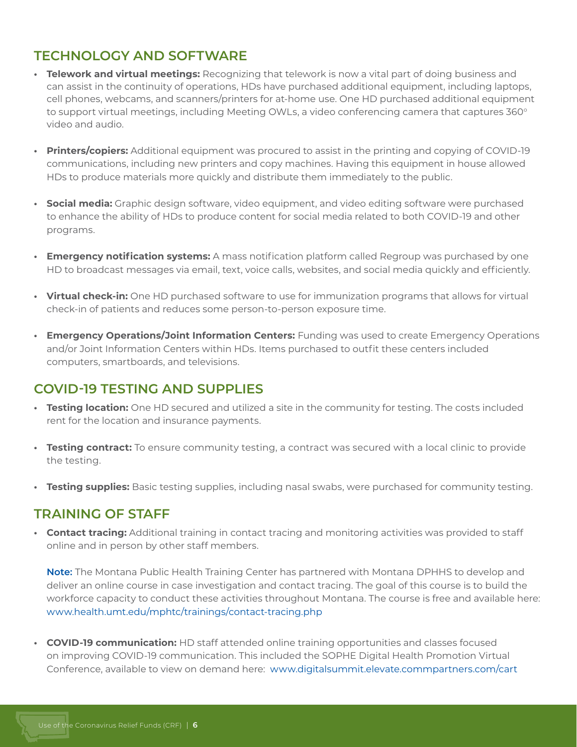#### **TECHNOLOGY AND SOFTWARE**

- **• Telework and virtual meetings:** Recognizing that telework is now a vital part of doing business and can assist in the continuity of operations, HDs have purchased additional equipment, including laptops, cell phones, webcams, and scanners/printers for at-home use. One HD purchased additional equipment to support virtual meetings, including Meeting OWLs, a video conferencing camera that captures  $360^{\circ}$ video and audio.
- **• Printers/copiers:** Additional equipment was procured to assist in the printing and copying of COVID-19 communications, including new printers and copy machines. Having this equipment in house allowed HDs to produce materials more quickly and distribute them immediately to the public.
- **• Social media:** Graphic design software, video equipment, and video editing software were purchased to enhance the ability of HDs to produce content for social media related to both COVID-19 and other programs.
- **• Emergency notification systems:** A mass notification platform called Regroup was purchased by one HD to broadcast messages via email, text, voice calls, websites, and social media quickly and efficiently.
- **• Virtual check-in:** One HD purchased software to use for immunization programs that allows for virtual check-in of patients and reduces some person-to-person exposure time.
- **• Emergency Operations/Joint Information Centers:** Funding was used to create Emergency Operations and/or Joint Information Centers within HDs. Items purchased to outfit these centers included computers, smartboards, and televisions.

#### **COVID-19 TESTING AND SUPPLIES**

- **• Testing location:** One HD secured and utilized a site in the community for testing. The costs included rent for the location and insurance payments.
- **• Testing contract:** To ensure community testing, a contract was secured with a local clinic to provide the testing.
- **• Testing supplies:** Basic testing supplies, including nasal swabs, were purchased for community testing.

#### **TRAINING OF STAFF**

**• Contact tracing:** Additional training in contact tracing and monitoring activities was provided to staff online and in person by other staff members.

**Note:** The Montana Public Health Training Center has partnered with Montana DPHHS to develop and deliver an online course in case investigation and contact tracing. The goal of this course is to build the workforce capacity to conduct these activities throughout Montana. The course is free and available here: www.health.umt.edu/mphtc/trainings/contact-tracing.php

**• COVID-19 communication:** HD staff attended online training opportunities and classes focused on improving COVID-19 communication. This included the SOPHE Digital Health Promotion Virtual Conference, available to view on demand here: www.digitalsummit.elevate.commpartners.com/cart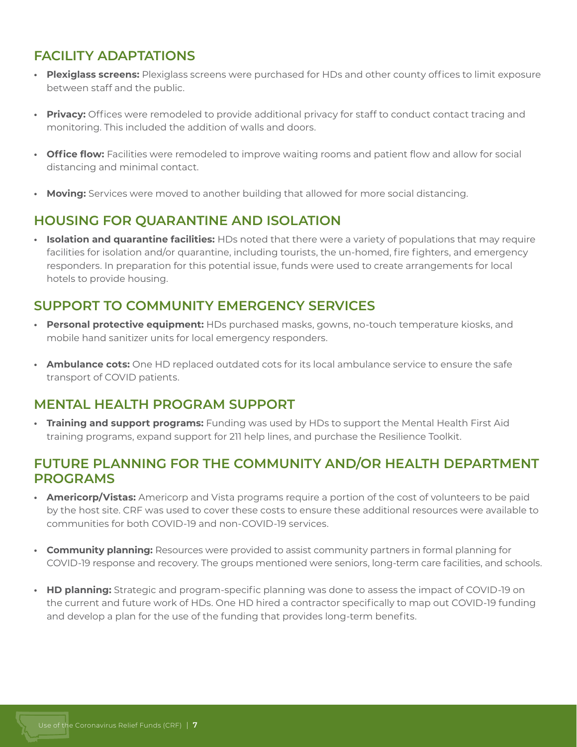### **FACILITY ADAPTATIONS**

- **• Plexiglass screens:** Plexiglass screens were purchased for HDs and other county offices to limit exposure between staff and the public.
- **• Privacy:** Offices were remodeled to provide additional privacy for staff to conduct contact tracing and monitoring. This included the addition of walls and doors.
- **• Office flow:** Facilities were remodeled to improve waiting rooms and patient flow and allow for social distancing and minimal contact.
- **• Moving:** Services were moved to another building that allowed for more social distancing.

#### **HOUSING FOR QUARANTINE AND ISOLATION**

**• Isolation and quarantine facilities:** HDs noted that there were a variety of populations that may require facilities for isolation and/or quarantine, including tourists, the un-homed, fire fighters, and emergency responders. In preparation for this potential issue, funds were used to create arrangements for local hotels to provide housing.

#### **SUPPORT TO COMMUNITY EMERGENCY SERVICES**

- **• Personal protective equipment:** HDs purchased masks, gowns, no-touch temperature kiosks, and mobile hand sanitizer units for local emergency responders.
- **• Ambulance cots:** One HD replaced outdated cots for its local ambulance service to ensure the safe transport of COVID patients.

#### **MENTAL HEALTH PROGRAM SUPPORT**

**• Training and support programs:** Funding was used by HDs to support the Mental Health First Aid training programs, expand support for 211 help lines, and purchase the Resilience Toolkit.

#### **FUTURE PLANNING FOR THE COMMUNITY AND/OR HEALTH DEPARTMENT PROGRAMS**

- **• Americorp/Vistas:** Americorp and Vista programs require a portion of the cost of volunteers to be paid by the host site. CRF was used to cover these costs to ensure these additional resources were available to communities for both COVID-19 and non-COVID-19 services.
- **• Community planning:** Resources were provided to assist community partners in formal planning for COVID-19 response and recovery. The groups mentioned were seniors, long-term care facilities, and schools.
- **• HD planning:** Strategic and program-specific planning was done to assess the impact of COVID-19 on the current and future work of HDs. One HD hired a contractor specifically to map out COVID-19 funding and develop a plan for the use of the funding that provides long-term benefits.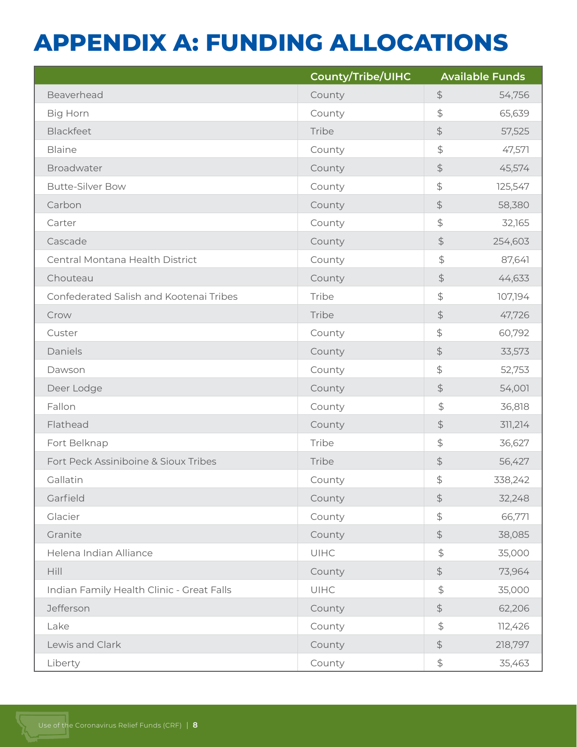### **APPENDIX A: FUNDING ALLOCATIONS**

|                                           | County/Tribe/UIHC | <b>Available Funds</b> |         |
|-------------------------------------------|-------------------|------------------------|---------|
| Beaverhead                                | County            | $\updownarrow$         | 54,756  |
| <b>Big Horn</b>                           | County            | $\updownarrow$         | 65,639  |
| Blackfeet                                 | Tribe             | $\updownarrow$         | 57,525  |
| <b>Blaine</b>                             | County            | $\frac{4}{5}$          | 47,571  |
| Broadwater                                | County            | $\updownarrow$         | 45,574  |
| <b>Butte-Silver Bow</b>                   | County            | $\updownarrow$         | 125,547 |
| Carbon                                    | County            | $\updownarrow$         | 58,380  |
| Carter                                    | County            | $\frac{4}{5}$          | 32,165  |
| Cascade                                   | County            | $\frac{1}{2}$          | 254,603 |
| Central Montana Health District           | County            | $\frac{1}{2}$          | 87,641  |
| Chouteau                                  | County            | $\updownarrow$         | 44,633  |
| Confederated Salish and Kootenai Tribes   | Tribe             | \$                     | 107,194 |
| Crow                                      | Tribe             | $\updownarrow$         | 47,726  |
| Custer                                    | County            | $\updownarrow$         | 60,792  |
| Daniels                                   | County            | $\updownarrow$         | 33,573  |
| Dawson                                    | County            | $\updownarrow$         | 52,753  |
| Deer Lodge                                | County            | \$                     | 54,001  |
| Fallon                                    | County            | $\frac{1}{2}$          | 36,818  |
| Flathead                                  | County            | $\updownarrow$         | 311,214 |
| Fort Belknap                              | Tribe             | $\frac{4}{5}$          | 36,627  |
| Fort Peck Assiniboine & Sioux Tribes      | Tribe             | $\updownarrow$         | 56,427  |
| Gallatin                                  | County            | $\updownarrow$         | 338,242 |
| Garfield                                  | County            | $\updownarrow$         | 32,248  |
| Glacier                                   | County            | $\updownarrow$         | 66,771  |
| Granite                                   | County            | $\updownarrow$         | 38,085  |
| Helena Indian Alliance                    | <b>UIHC</b>       | $\frac{1}{2}$          | 35,000  |
| Hill                                      | County            | $\updownarrow$         | 73,964  |
| Indian Family Health Clinic - Great Falls | UIHC              | $\frac{1}{2}$          | 35,000  |
| Jefferson                                 | County            | $\updownarrow$         | 62,206  |
| Lake                                      | County            | $\frac{1}{2}$          | 112,426 |
| Lewis and Clark                           | County            | $\updownarrow$         | 218,797 |
| Liberty                                   | County            | $\updownarrow$         | 35,463  |